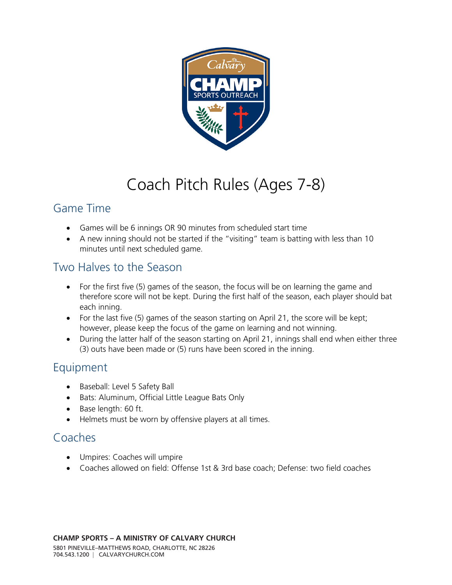

# Coach Pitch Rules (Ages 7-8)

#### Game Time

- Games will be 6 innings OR 90 minutes from scheduled start time
- A new inning should not be started if the "visiting" team is batting with less than 10 minutes until next scheduled game.

# Two Halves to the Season

- For the first five (5) games of the season, the focus will be on learning the game and therefore score will not be kept. During the first half of the season, each player should bat each inning.
- For the last five (5) games of the season starting on April 21, the score will be kept; however, please keep the focus of the game on learning and not winning.
- During the latter half of the season starting on April 21, innings shall end when either three (3) outs have been made or (5) runs have been scored in the inning.

## Equipment

- Baseball: Level 5 Safety Ball
- Bats: Aluminum, Official Little League Bats Only
- Base length: 60 ft.
- Helmets must be worn by offensive players at all times.

## Coaches

- Umpires: Coaches will umpire
- Coaches allowed on field: Offense 1st & 3rd base coach; Defense: two field coaches